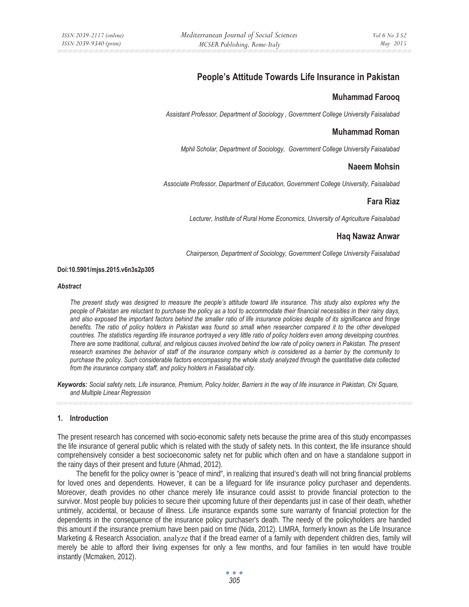# **People's Attitude Towards Life Insurance in Pakistan**

### **Muhammad Farooq**

*Assistant Professor, Department of Sociology , Government College University Faisalabad* 

### **Muhammad Roman**

*Mphil Scholar, Department of Sociology, Government College University Faisalabad* 

## **Naeem Mohsin**

*Associate Professor, Department of Education, Government College University, Faisalabad* 

## **Fara Riaz**

*Lecturer, Institute of Rural Home Economics, University of Agriculture Faisalabad* 

## **Haq Nawaz Anwar**

*Chairperson, Department of Sociology, Government College University Faisalabad* 

### **Doi:10.5901/mjss.2015.v6n3s2p305**

#### *Abstract*

*The present study was designed to measure the people's attitude toward life insurance. This study also explores why the people of Pakistan are reluctant to purchase the policy as a tool to accommodate their financial necessities in their rainy days, and also exposed the important factors behind the smaller ratio of life insurance policies despite of its significance and fringe benefits. The ratio of policy holders in Pakistan was found so small when researcher compared it to the other developed countries. The statistics regarding life insurance portrayed a very little ratio of policy holders even among developing countries. There are some traditional, cultural, and religious causes involved behind the low rate of policy owners in Pakistan. The present research examines the behavior of staff of the insurance company which is considered as a barrier by the community to purchase the policy. Such considerable factors encompassing the whole study analyzed through the quantitative data collected from the insurance company staff, and policy holders in Faisalabad city.* 

*Keywords: Social safety nets, Life insurance, Premium, Policy holder, Barriers in the way of life insurance in Pakistan, Chi Square, and Multiple Linear Regression* 

#### **1. Introduction**

The present research has concerned with socio-economic safety nets because the prime area of this study encompasses the life insurance of general public which is related with the study of safety nets. In this context, the life insurance should comprehensively consider a best socioeconomic safety net for public which often and on have a standalone support in the rainy days of their present and future (Ahmad, 2012).

The benefit for the policy owner is "peace of mind", in realizing that insured's death will not bring financial problems for loved ones and dependents. However, it can be a lifeguard for life insurance policy purchaser and dependents. Moreover, death provides no other chance merely life insurance could assist to provide financial protection to the survivor. Most people buy policies to secure their upcoming future of their dependants just in case of their death, whether untimely, accidental, or because of illness. Life insurance expands some sure warranty of financial protection for the dependents in the consequence of the insurance policy purchaser's death. The needy of the policyholders are handed this amount if the insurance premium have been paid on time (Nida, 2012). LIMRA, formerly known as the Life Insurance Marketing & Research Association, analyze that if the bread earner of a family with dependent children dies, family will merely be able to afford their living expenses for only a few months, and four families in ten would have trouble instantly (Mcmaken, 2012).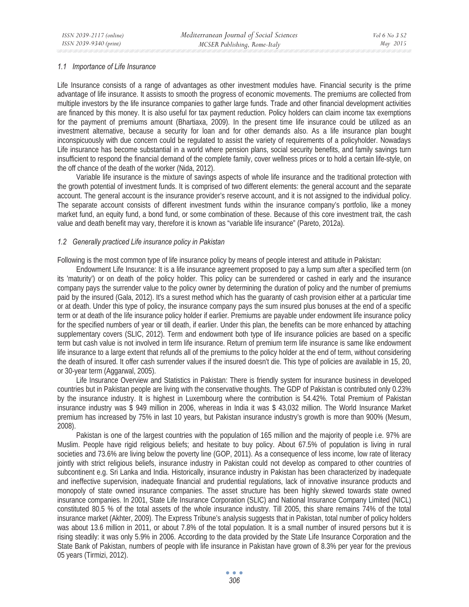### *1.1 Importance of Life Insurance*

Life Insurance consists of a range of advantages as other investment modules have. Financial security is the prime advantage of life insurance. It assists to smooth the progress of economic movements. The premiums are collected from multiple investors by the life insurance companies to gather large funds. Trade and other financial development activities are financed by this money. It is also useful for tax payment reduction. Policy holders can claim income tax exemptions for the payment of premiums amount (Bhartiaxa, 2009). In the present time life insurance could be utilized as an investment alternative, because a security for loan and for other demands also. As a life insurance plan bought inconspicuously with due concern could be regulated to assist the variety of requirements of a policyholder. Nowadays Life insurance has become substantial in a world where pension plans, social security benefits, and family savings turn insufficient to respond the financial demand of the complete family, cover wellness prices or to hold a certain life-style, on the off chance of the death of the worker (Nida, 2012).

Variable life insurance is the mixture of savings aspects of whole life insurance and the traditional protection with the growth potential of investment funds. It is comprised of two different elements: the general account and the separate account. The general account is the insurance provider's reserve account, and it is not assigned to the individual policy. The separate account consists of different investment funds within the insurance company's portfolio, like a money market fund, an equity fund, a bond fund, or some combination of these. Because of this core investment trait, the cash value and death benefit may vary, therefore it is known as "variable life insurance" (Pareto, 2012a).

#### *1.2 Generally practiced Life insurance policy in Pakistan*

Following is the most common type of life insurance policy by means of people interest and attitude in Pakistan:

Endowment Life Insurance: It is a life insurance agreement proposed to pay a lump sum after a specified term (on its 'maturity') or on death of the policy holder. This policy can be surrendered or cashed in early and the insurance company pays the surrender value to the policy owner by determining the duration of policy and the number of premiums paid by the insured (Gala, 2012). It's a surest method which has the guaranty of cash provision either at a particular time or at death. Under this type of policy, the insurance company pays the sum insured plus bonuses at the end of a specific term or at death of the life insurance policy holder if earlier. Premiums are payable under endowment life insurance policy for the specified numbers of year or till death, if earlier. Under this plan, the benefits can be more enhanced by attaching supplementary covers (SLIC, 2012). Term and endowment both type of life insurance policies are based on a specific term but cash value is not involved in term life insurance. Return of premium term life insurance is same like endowment life insurance to a large extent that refunds all of the premiums to the policy holder at the end of term, without considering the death of insured. It offer cash surrender values if the insured doesn't die. This type of policies are available in 15, 20, or 30-year term (Aggarwal, 2005).

Life Insurance Overview and Statistics in Pakistan: There is friendly system for insurance business in developed countries but in Pakistan people are living with the conservative thoughts. The GDP of Pakistan is contributed only 0.23% by the insurance industry. It is highest in Luxembourg where the contribution is 54.42%. Total Premium of Pakistan insurance industry was \$ 949 million in 2006, whereas in India it was \$ 43,032 million. The World Insurance Market premium has increased by 75% in last 10 years, but Pakistan insurance industry's growth is more than 900% (Mesum, 2008).

Pakistan is one of the largest countries with the population of 165 million and the majority of people i.e. 97% are Muslim. People have rigid religious beliefs; and hesitate to buy policy. About 67.5% of population is living in rural societies and 73.6% are living below the poverty line (GOP, 2011). As a consequence of less income, low rate of literacy jointly with strict religious beliefs, insurance industry in Pakistan could not develop as compared to other countries of subcontinent e.g. Sri Lanka and India. Historically, insurance industry in Pakistan has been characterized by inadequate and ineffective supervision, inadequate financial and prudential regulations, lack of innovative insurance products and monopoly of state owned insurance companies. The asset structure has been highly skewed towards state owned insurance companies. In 2001, State Life Insurance Corporation (SLIC) and National Insurance Company Limited (NICL) constituted 80.5 % of the total assets of the whole insurance industry. Till 2005, this share remains 74% of the total insurance market (Akhter, 2009). The Express Tribune's analysis suggests that in Pakistan, total number of policy holders was about 13.6 million in 2011, or about 7.8% of the total population. It is a small number of insured persons but it is rising steadily: it was only 5.9% in 2006. According to the data provided by the State Life Insurance Corporation and the State Bank of Pakistan, numbers of people with life insurance in Pakistan have grown of 8.3% per year for the previous 05 years (Tirmizi, 2012).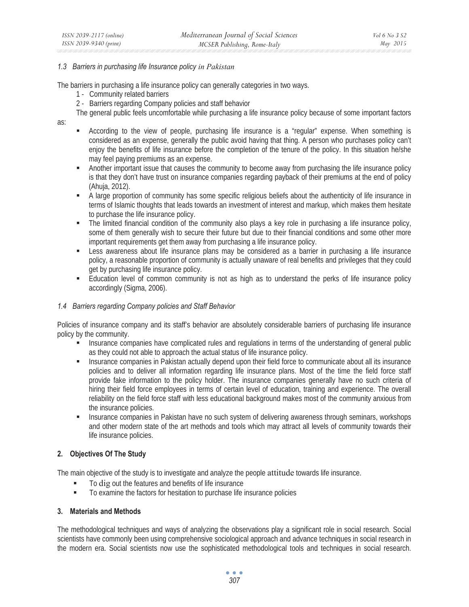### *1.3 Barriers in purchasing life Insurance policy in Pakistan*

The barriers in purchasing a life insurance policy can generally categories in two ways.

- 1 Community related barriers
- 2 Barriers regarding Company policies and staff behavior
- The general public feels uncomfortable while purchasing a life insurance policy because of some important factors

as:

- According to the view of people, purchasing life insurance is a "regular" expense. When something is considered as an expense, generally the public avoid having that thing. A person who purchases policy can't enjoy the benefits of life insurance before the completion of the tenure of the policy. In this situation he/she may feel paying premiums as an expense.
- Another important issue that causes the community to become away from purchasing the life insurance policy is that they don't have trust on insurance companies regarding payback of their premiums at the end of policy (Ahuja, 2012).
- A large proportion of community has some specific religious beliefs about the authenticity of life insurance in terms of Islamic thoughts that leads towards an investment of interest and markup, which makes them hesitate to purchase the life insurance policy.
- The limited financial condition of the community also plays a key role in purchasing a life insurance policy, some of them generally wish to secure their future but due to their financial conditions and some other more important requirements get them away from purchasing a life insurance policy.
- Less awareness about life insurance plans may be considered as a barrier in purchasing a life insurance policy, a reasonable proportion of community is actually unaware of real benefits and privileges that they could get by purchasing life insurance policy.
- Education level of common community is not as high as to understand the perks of life insurance policy accordingly (Sigma, 2006).

### *1.4 Barriers regarding Company policies and Staff Behavior*

Policies of insurance company and its staff's behavior are absolutely considerable barriers of purchasing life insurance policy by the community.

- Insurance companies have complicated rules and regulations in terms of the understanding of general public as they could not able to approach the actual status of life insurance policy.
- Insurance companies in Pakistan actually depend upon their field force to communicate about all its insurance policies and to deliver all information regarding life insurance plans. Most of the time the field force staff provide fake information to the policy holder. The insurance companies generally have no such criteria of hiring their field force employees in terms of certain level of education, training and experience. The overall reliability on the field force staff with less educational background makes most of the community anxious from the insurance policies.
- Insurance companies in Pakistan have no such system of delivering awareness through seminars, workshops and other modern state of the art methods and tools which may attract all levels of community towards their life insurance policies.

### **2. Objectives Of The Study**

The main objective of the study is to investigate and analyze the people attitude towards life insurance.

- To dig out the features and benefits of life insurance
- To examine the factors for hesitation to purchase life insurance policies

### **3. Materials and Methods**

The methodological techniques and ways of analyzing the observations play a significant role in social research. Social scientists have commonly been using comprehensive sociological approach and advance techniques in social research in the modern era. Social scientists now use the sophisticated methodological tools and techniques in social research.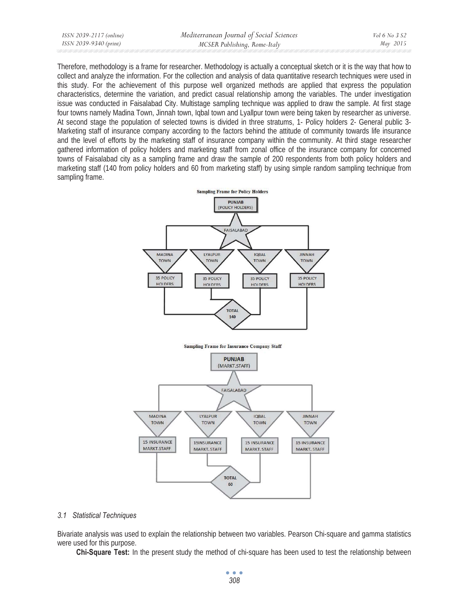| ISSN 2039-2117 (online) | Mediterranean Journal of Social Sciences | Vol 6 No 3 S2 |
|-------------------------|------------------------------------------|---------------|
| ISSN 2039-9340 (print)  | MCSER Publishing, Rome-Italy             | May 2015      |

Therefore, methodology is a frame for researcher. Methodology is actually a conceptual sketch or it is the way that how to collect and analyze the information. For the collection and analysis of data quantitative research techniques were used in this study. For the achievement of this purpose well organized methods are applied that express the population characteristics, determine the variation, and predict casual relationship among the variables. The under investigation issue was conducted in Faisalabad City. Multistage sampling technique was applied to draw the sample. At first stage four towns namely Madina Town, Jinnah town, Iqbal town and Lyallpur town were being taken by researcher as universe. At second stage the population of selected towns is divided in three stratums, 1- Policy holders 2- General public 3- Marketing staff of insurance company according to the factors behind the attitude of community towards life insurance and the level of efforts by the marketing staff of insurance company within the community. At third stage researcher gathered information of policy holders and marketing staff from zonal office of the insurance company for concerned towns of Faisalabad city as a sampling frame and draw the sample of 200 respondents from both policy holders and marketing staff (140 from policy holders and 60 from marketing staff) by using simple random sampling technique from sampling frame.



#### *3.1 Statistical Techniques*

Bivariate analysis was used to explain the relationship between two variables. Pearson Chi-square and gamma statistics were used for this purpose.

**Chi-Square Test:** In the present study the method of chi-square has been used to test the relationship between

 $\bullet$   $\bullet$   $\bullet$ *308*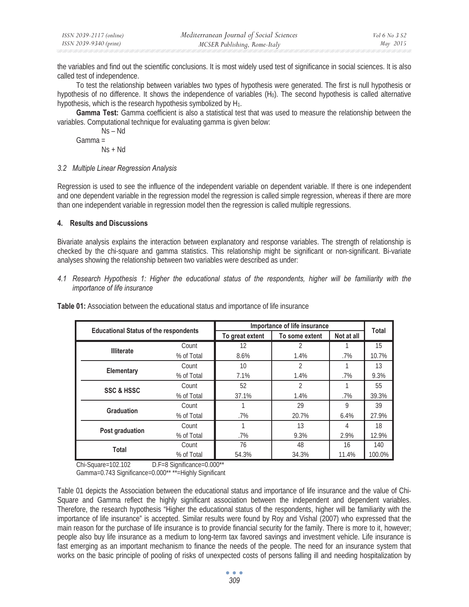the variables and find out the scientific conclusions. It is most widely used test of significance in social sciences. It is also called test of independence.

To test the relationship between variables two types of hypothesis were generated. The first is null hypothesis or hypothesis of no difference. It shows the independence of variables (H0). The second hypothesis is called alternative hypothesis, which is the research hypothesis symbolized by H1.

**Gamma Test:** Gamma coefficient is also a statistical test that was used to measure the relationship between the variables. Computational technique for evaluating gamma is given below:

 Ns – Nd Gamma = Ns + Nd

### *3.2 Multiple Linear Regression Analysis*

Regression is used to see the influence of the independent variable on dependent variable. If there is one independent and one dependent variable in the regression model the regression is called simple regression, whereas if there are more than one independent variable in regression model then the regression is called multiple regressions.

## **4. Results and Discussions**

Bivariate analysis explains the interaction between explanatory and response variables. The strength of relationship is checked by the chi-square and gamma statistics. This relationship might be significant or non-significant. Bi-variate analyses showing the relationship between two variables were described as under:

*4.1 Research Hypothesis 1: Higher the educational status of the respondents, higher will be familiarity with the importance of life insurance* 

|                       |                                              | Importance of life insurance |                |            |              |  |
|-----------------------|----------------------------------------------|------------------------------|----------------|------------|--------------|--|
|                       | <b>Educational Status of the respondents</b> |                              | To some extent | Not at all | <b>Total</b> |  |
| <b>Illiterate</b>     | Count                                        | 12                           | 2              |            | 15           |  |
|                       | % of Total                                   | 8.6%                         | 1.4%           | $.7\%$     | 10.7%        |  |
|                       | Count                                        | 10                           | 2              |            | 13           |  |
| Elementary            | % of Total                                   | 7.1%                         | 1.4%           | .7%        | 9.3%         |  |
| <b>SSC &amp; HSSC</b> | Count                                        | 52                           | 2              |            | 55           |  |
|                       | % of Total                                   | 37.1%                        | 1.4%           | $.7\%$     | 39.3%        |  |
|                       | Count                                        |                              | 29             | 9          | 39           |  |
| <b>Graduation</b>     | % of Total                                   | $.7\%$                       | 20.7%          | 6.4%       | 27.9%        |  |
|                       | Count                                        |                              | 13             | 4          | 18           |  |
| Post graduation       | % of Total                                   | $.7\%$                       | 9.3%           | 2.9%       | 12.9%        |  |
| <b>Total</b>          | Count                                        | 76                           | 48             | 16         | 140          |  |
|                       | % of Total                                   | 54.3%                        | 34.3%          | 11.4%      | 100.0%       |  |

**Table 01:** Association between the educational status and importance of life insurance

Chi-Square=102.102 D.F=8 Significance=0.000\*\* Gamma=0.743 Significance=0.000\*\* \*\*=Highly Significant

Table 01 depicts the Association between the educational status and importance of life insurance and the value of Chi-Square and Gamma reflect the highly significant association between the independent and dependent variables. Therefore, the research hypothesis "Higher the educational status of the respondents, higher will be familiarity with the importance of life insurance" is accepted. Similar results were found by Roy and Vishal (2007) who expressed that the main reason for the purchase of life insurance is to provide financial security for the family. There is more to it, however; people also buy life insurance as a medium to long-term tax favored savings and investment vehicle. Life insurance is fast emerging as an important mechanism to finance the needs of the people. The need for an insurance system that works on the basic principle of pooling of risks of unexpected costs of persons falling ill and needing hospitalization by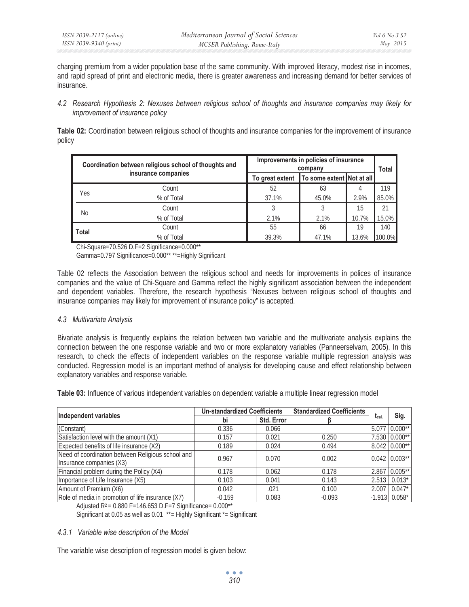charging premium from a wider population base of the same community. With improved literacy, modest rise in incomes, and rapid spread of print and electronic media, there is greater awareness and increasing demand for better services of insurance.

*4.2 Research Hypothesis 2: Nexuses between religious school of thoughts and insurance companies may likely for improvement of insurance policy* 

**Table 02:** Coordination between religious school of thoughts and insurance companies for the improvement of insurance policy

| Coordination between religious school of thoughts and<br>insurance companies |            | Improvements in policies of insurance<br>company |       |       | Total  |
|------------------------------------------------------------------------------|------------|--------------------------------------------------|-------|-------|--------|
|                                                                              |            | To great extent   To some extent Not at all      |       |       |        |
| Yes                                                                          | Count      | 52                                               | 63    |       | 119    |
|                                                                              | % of Total | 37.1%                                            | 45.0% | 2.9%  | 85.0%  |
| No                                                                           | Count      |                                                  |       | 15    | 21     |
|                                                                              | % of Total | 2.1%                                             | 2.1%  | 10.7% | 15.0%  |
| Total                                                                        | Count      | 55                                               | 66    | 19    | 140    |
|                                                                              | % of Total | 39.3%                                            | 47.1% | 13.6% | 100.0% |

Chi-Square=70.526 D.F=2 Significance=0.000\*\*

Gamma=0.797 Significance=0.000\*\* \*\*=Highly Significant

Table 02 reflects the Association between the religious school and needs for improvements in polices of insurance companies and the value of Chi-Square and Gamma reflect the highly significant association between the independent and dependent variables. Therefore, the research hypothesis "Nexuses between religious school of thoughts and insurance companies may likely for improvement of insurance policy" is accepted.

## *4.3 Multivariate Analysis*

Bivariate analysis is frequently explains the relation between two variable and the multivariate analysis explains the connection between the one response variable and two or more explanatory variables (Panneerselvam, 2005). In this research, to check the effects of independent variables on the response variable multiple regression analysis was conducted. Regression model is an important method of analysis for developing cause and effect relationship between explanatory variables and response variable.

**Table 03:** Influence of various independent variables on dependent variable a multiple linear regression model

| Independent variables                                                         | <b>Un-standardized Coefficients</b> |            | <b>Standardized Coefficients</b> | t <sub>cal</sub> | Sig.             |
|-------------------------------------------------------------------------------|-------------------------------------|------------|----------------------------------|------------------|------------------|
|                                                                               | bi                                  | Std. Error |                                  |                  |                  |
| (Constant)                                                                    | 0.336                               | 0.066      |                                  | 5.077            | $0.000**$        |
| Satisfaction level with the amount (X1)                                       | 0.157                               | 0.021      | 0.250                            |                  | 7.530 0.000**    |
| Expected benefits of life insurance (X2)                                      | 0.189                               | 0.024      | 0.494                            |                  | 8.042 0.000**    |
| Need of coordination between Religious school and<br>Insurance companies (X3) | 0.967                               | 0.070      | 0.002                            |                  | $0.042$ 0.003**  |
| Financial problem during the Policy (X4)                                      | 0.178                               | 0.062      | 0.178                            |                  | $2.867$ 0.005**  |
| Importance of Life Insurance (X5)                                             | 0.103                               | 0.041      | 0.143                            |                  | $2.513   0.013*$ |
| Amount of Premium (X6)                                                        | 0.042                               | .021       | 0.100                            | 2.007            | $0.047*$         |
| Role of media in promotion of life insurance (X7)                             | $-0.159$                            | 0.083      | $-0.093$                         |                  | $-1.913$ 0.058*  |

Adjusted  $R^2 = 0.880 F = 146.653 D.F = 7$  Significance=  $0.000**$ 

Significant at 0.05 as well as 0.01 \*\*= Highly Significant \*= Significant

## *4.3.1 Variable wise description of the Model*

The variable wise description of regression model is given below: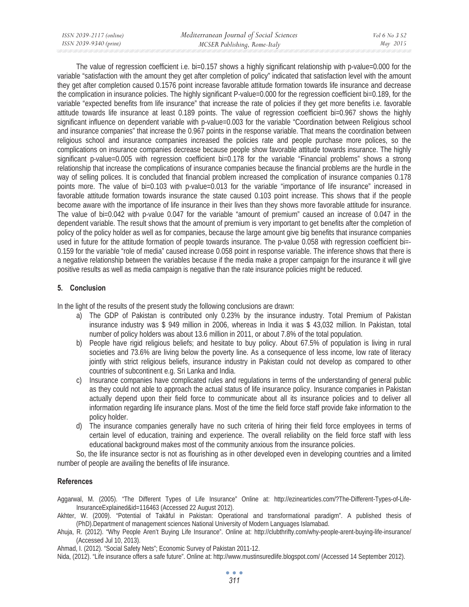| ISSN 2039-2117 (online) | Mediterranean Journal of Social Sciences | Vol 6 No 3 S2 |
|-------------------------|------------------------------------------|---------------|
| ISSN 2039-9340 (print)  | MCSER Publishing, Rome-Italy             | May 2015      |

The value of regression coefficient i.e. bi=0.157 shows a highly significant relationship with p-value=0.000 for the variable "satisfaction with the amount they get after completion of policy" indicated that satisfaction level with the amount they get after completion caused 0.1576 point increase favorable attitude formation towards life insurance and decrease the complication in insurance policies. The highly significant P-value=0.000 for the regression coefficient bi=0.189, for the variable "expected benefits from life insurance" that increase the rate of policies if they get more benefits i.e. favorable attitude towards life insurance at least 0.189 points. The value of regression coefficient bi=0.967 shows the highly significant influence on dependent variable with p-value=0.003 for the variable "Coordination between Religious school and insurance companies" that increase the 0.967 points in the response variable. That means the coordination between religious school and insurance companies increased the policies rate and people purchase more polices, so the complications on insurance companies decrease because people show favorable attitude towards insurance. The highly significant p-value=0.005 with regression coefficient bi=0.178 for the variable "Financial problems" shows a strong relationship that increase the complications of insurance companies because the financial problems are the hurdle in the way of selling polices. It is concluded that financial problem increased the complication of insurance companies 0.178 points more. The value of bi=0.103 with p-value=0.013 for the variable "importance of life insurance" increased in favorable attitude formation towards insurance the state caused 0.103 point increase. This shows that if the people become aware with the importance of life insurance in their lives than they shows more favorable attitude for insurance. The value of bi=0.042 with p-value 0.047 for the variable "amount of premium" caused an increase of 0.047 in the dependent variable. The result shows that the amount of premium is very important to get benefits after the completion of policy of the policy holder as well as for companies, because the large amount give big benefits that insurance companies used in future for the attitude formation of people towards insurance. The p-value 0.058 with regression coefficient bi=- 0.159 for the variable "role of media" caused increase 0.058 point in response variable. The inference shows that there is a negative relationship between the variables because if the media make a proper campaign for the insurance it will give positive results as well as media campaign is negative than the rate insurance policies might be reduced.

### **5. Conclusion**

In the light of the results of the present study the following conclusions are drawn:

- a) The GDP of Pakistan is contributed only 0.23% by the insurance industry. Total Premium of Pakistan insurance industry was \$ 949 million in 2006, whereas in India it was \$ 43,032 million. In Pakistan, total number of policy holders was about 13.6 million in 2011, or about 7.8% of the total population.
- b) People have rigid religious beliefs; and hesitate to buy policy. About 67.5% of population is living in rural societies and 73.6% are living below the poverty line. As a consequence of less income, low rate of literacy jointly with strict religious beliefs, insurance industry in Pakistan could not develop as compared to other countries of subcontinent e.g. Sri Lanka and India.
- c) Insurance companies have complicated rules and regulations in terms of the understanding of general public as they could not able to approach the actual status of life insurance policy. Insurance companies in Pakistan actually depend upon their field force to communicate about all its insurance policies and to deliver all information regarding life insurance plans. Most of the time the field force staff provide fake information to the policy holder.
- d) The insurance companies generally have no such criteria of hiring their field force employees in terms of certain level of education, training and experience. The overall reliability on the field force staff with less educational background makes most of the community anxious from the insurance policies.

So, the life insurance sector is not as flourishing as in other developed even in developing countries and a limited number of people are availing the benefits of life insurance.

#### **References**

Aggarwal, M. (2005). "The Different Types of Life Insurance" Online at: http://ezinearticles.com/?The-Different-Types-of-Life-InsuranceExplained&id=116463 (Accessed 22 August 2012).

Akhter, W. (2009). "Potential of Takāful in Pakistan: Operational and transformational paradigm". A published thesis of (PhD).Department of management sciences National University of Modern Languages Islamabad.

Ahuja, R. (2012). "Why People Aren't Buying Life Insurance". Online at: http://clubthrifty.com/why-people-arent-buying-life-insurance/ (Accessed Jul 10, 2013).

Ahmad, I. (2012). "Social Safety Nets"; Economic Survey of Pakistan 2011-12.

Nida, (2012). "Life insurance offers a safe future". Online at: http://www.mustinsuredlife.blogspot.com/ (Accessed 14 September 2012).